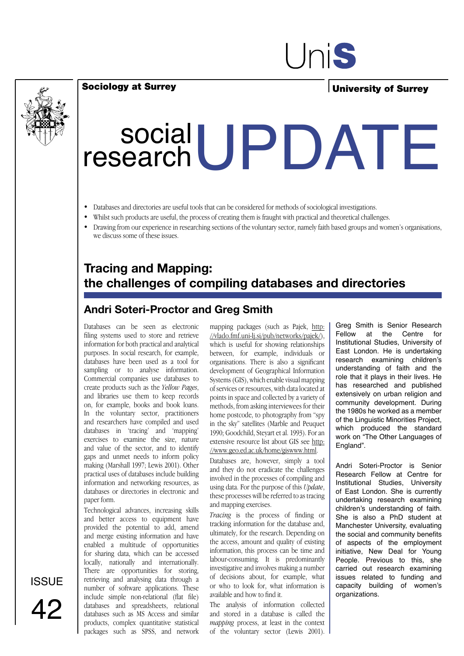

University of Surrey

# Social UPDATE research

- Databases and directories are useful tools that can be considered for methods of sociological investigations.
- Whilst such products are useful, the process of creating them is fraught with practical and theoretical challenges.
- Drawing from our experience in researching sections of the voluntary sector, namely faith based groups and women's organisations, we discuss some of these issues.

### **Tracing and Mapping: the challenges of compiling databases and directories**

#### **Andri Soteri-Proctor and Greg Smith**

Databases can be seen as electronic filing systems used to store and retrieve information for both practical and analytical purposes. In social research, for example, databases have been used as a tool for sampling or to analyse information. Commercial companies use databases to create products such as the *Yellow Pages*, and libraries use them to keep records on, for example, books and book loans. In the voluntary sector, practitioners and researchers have compiled and used databases in 'tracing' and 'mapping' exercises to examine the size, nature and value of the sector, and to identify gaps and unmet needs to inform policy making (Marshall 1997; Lewis 2001). Other practical uses of databases include building information and networking resources, as databases or directories in electronic and paper form.

Sociology at Surrey

Technological advances, increasing skills and better access to equipment have provided the potential to add, amend and merge existing information and have enabled a multitude of opportunities for sharing data, which can be accessed locally, nationally and internationally. There are opportunities for storing, retrieving and analysing data through a number of software applications. These include simple non-relational (flat file) databases and spreadsheets, relational databases such as MS Access and similar products, complex quantitative statistical packages such as SPSS, and network mapping packages (such as Pajek, http: //vlado.fmf.uni-lj.si/pub/networks/pajek/), which is useful for showing relationships between, for example, individuals or organisations. There is also a significant development of Geographical Information Systems (GIS), which enable visual mapping of services or resources, with data located at points in space and collected by a variety of methods, from asking interviewees for their home postcode, to photography from "spy in the sky" satellites (Marble and Peuquet 1990; Goodchild, Steyart et al. 1993). For an extensive resource list about GIS see http: //www.geo.ed.ac.uk/home/giswww.html.

Databases are, however, simply a tool and they do not eradicate the challenges involved in the processes of compiling and using data. For the purpose of this *Update*, these processes will be referred to as tracing and mapping exercises.

*Tracing* is the process of finding or tracking information for the database and, ultimately, for the research. Depending on the access, amount and quality of existing information, this process can be time and labour-consuming. It is predominantly investigative and involves making a number of decisions about, for example, what or who to look for, what information is available and how to find it.

The analysis of information collected and stored in a database is called the *mapping* process, at least in the context of the voluntary sector (Lewis 2001). Greg Smith is Senior Research Fellow at the Centre for Institutional Studies, University of East London. He is undertaking research examining children's understanding of faith and the role that it plays in their lives. He has researched and published extensively on urban religion and community development. During the 1980s he worked as a member of the Linguistic Minorities Project, which produced the standard work on "The Other Languages of England".

Andri Soteri-Proctor is Senior Research Fellow at Centre for Institutional Studies, University of East London. She is currently undertaking research examining children's understanding of faith. She is also a PhD student at Manchester University, evaluating the social and community benefits of aspects of the employment initiative, New Deal for Young People. Previous to this, she carried out research examining issues related to funding and capacity building of women's organizations.

**ISSUE** 42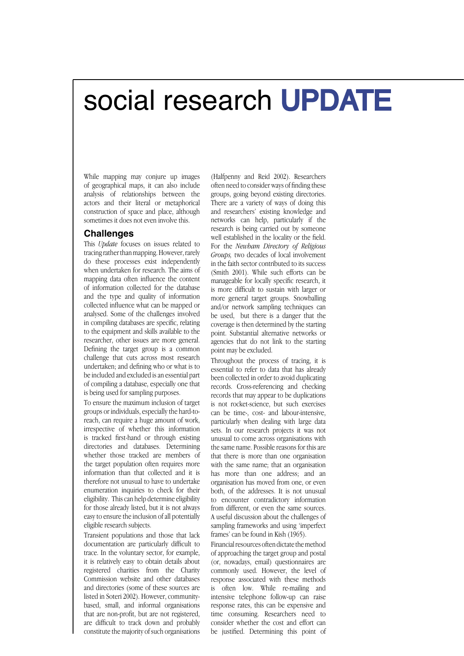### social research UPDATE

While mapping may conjure up images of geographical maps, it can also include analysis of relationships between the actors and their literal or metaphorical construction of space and place, although sometimes it does not even involve this.

#### **Challenges**

This *Update* focuses on issues related to tracing rather than mapping. However, rarely do these processes exist independently when undertaken for research. The aims of mapping data often influence the content of information collected for the database and the type and quality of information collected influence what can be mapped or analysed. Some of the challenges involved in compiling databases are specific, relating to the equipment and skills available to the researcher, other issues are more general. Defining the target group is a common challenge that cuts across most research undertaken; and defining who or what is to be included and excluded is an essential part of compiling a database, especially one that is being used for sampling purposes.

To ensure the maximum inclusion of target groups or individuals, especially the hard-toreach, can require a huge amount of work, irrespective of whether this information is tracked first-hand or through existing directories and databases. Determining whether those tracked are members of the target population often requires more information than that collected and it is therefore not unusual to have to undertake enumeration inquiries to check for their eligibility. This can help determine eligibility for those already listed, but it is not always easy to ensure the inclusion of all potentially eligible research subjects.

Transient populations and those that lack documentation are particularly difficult to trace. In the voluntary sector, for example, it is relatively easy to obtain details about registered charities from the Charity Commission website and other databases and directories (some of these sources are listed in Soteri 2002). However, communitybased, small, and informal organisations that are non-profit, but are not registered, are difficult to track down and probably constitute the majority of such organisations

(Halfpenny and Reid 2002). Researchers often need to consider ways of finding these groups, going beyond existing directories. There are a variety of ways of doing this and researchers' existing knowledge and networks can help, particularly if the research is being carried out by someone well established in the locality or the field. For the *Newham Directory of Religious Groups,* two decades of local involvement in the faith sector contributed to its success (Smith 2001). While such efforts can be manageable for locally specific research, it is more difficult to sustain with larger or more general target groups. Snowballing and/or network sampling techniques can be used, but there is a danger that the coverage is then determined by the starting point. Substantial alternative networks or agencies that do not link to the starting point may be excluded.

Throughout the process of tracing, it is essential to refer to data that has already been collected in order to avoid duplicating records. Cross-referencing and checking records that may appear to be duplications is not rocket-science, but such exercises can be time-, cost- and labour-intensive, particularly when dealing with large data sets. In our research projects it was not unusual to come across organisations with the same name. Possible reasons for this are that there is more than one organisation with the same name; that an organisation has more than one address; and an organisation has moved from one, or even both, of the addresses. It is not unusual to encounter contradictory information from different, or even the same sources. A useful discussion about the challenges of sampling frameworks and using 'imperfect frames' can be found in Kish (1965).

Financial resources often dictate the method of approaching the target group and postal (or, nowadays, email) questionnaires are commonly used. However, the level of response associated with these methods is often low. While re-mailing and intensive telephone follow-up can raise response rates, this can be expensive and time consuming. Researchers need to consider whether the cost and effort can be justified. Determining this point of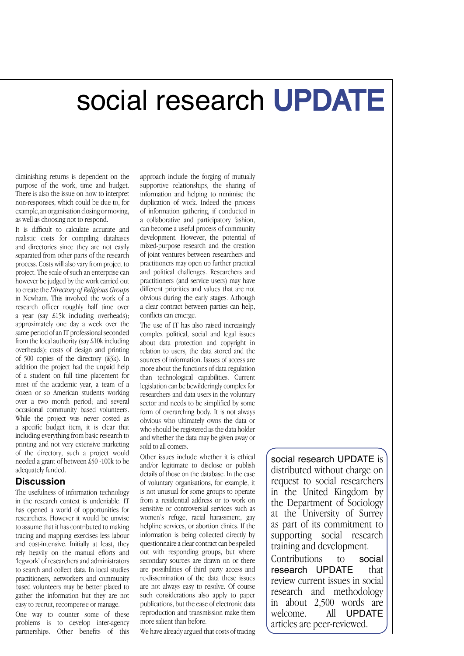## social research UPDATE

diminishing returns is dependent on the purpose of the work, time and budget. There is also the issue on how to interpret non-responses, which could be due to, for example, an organisation closing or moving, as well as choosing not to respond.

It is difficult to calculate accurate and realistic costs for compiling databases and directories since they are not easily separated from other parts of the research process. Costs will also vary from project to project. The scale of such an enterprise can however be judged by the work carried out to create the *Directory of Religious Groups*  in Newham. This involved the work of a research officer roughly half time over a year (say £15k including overheads); approximately one day a week over the same period of an IT professional seconded from the local authority (say £10k including overheads); costs of design and printing of 500 copies of the directory (£3k). In addition the project had the unpaid help of a student on full time placement for most of the academic year, a team of a dozen or so American students working over a two month period; and several occasional community based volunteers. While the project was never costed as a specific budget item, it is clear that including everything from basic research to printing and not very extensive marketing of the directory, such a project would needed a grant of between £50 -100k to be adequately funded.

#### **Discussion**

The usefulness of information technology in the research context is undeniable. IT has opened a world of opportunities for researchers. However it would be unwise to assume that it has contributed to making tracing and mapping exercises less labour and cost-intensive. Initially at least, they rely heavily on the manual efforts and 'legwork' of researchers and administrators to search and collect data. In local studies practitioners, networkers and community based volunteers may be better placed to gather the information but they are not easy to recruit, recompense or manage.

One way to counter some of these problems is to develop inter-agency partnerships. Other benefits of this

approach include the forging of mutually supportive relationships, the sharing of information and helping to minimise the duplication of work. Indeed the process of information gathering, if conducted in a collaborative and participatory fashion, can become a useful process of community development. However, the potential of mixed-purpose research and the creation of joint ventures between researchers and practitioners may open up further practical and political challenges. Researchers and practitioners (and service users) may have different priorities and values that are not obvious during the early stages. Although a clear contract between parties can help, conflicts can emerge.

The use of IT has also raised increasingly complex political, social and legal issues about data protection and copyright in relation to users, the data stored and the sources of information. Issues of access are more about the functions of data regulation than technological capabilities. Current legislation can be bewilderingly complex for researchers and data users in the voluntary sector and needs to be simplified by some form of overarching body. It is not always obvious who ultimately owns the data or who should be registered as the data holder and whether the data may be given away or sold to all comers.

Other issues include whether it is ethical and/or legitimate to disclose or publish details of those on the database. In the case of voluntary organisations, for example, it is not unusual for some groups to operate from a residential address or to work on sensitive or controversial services such as women's refuge, racial harassment, gay helpline services, or abortion clinics. If the information is being collected directly by questionnaire a clear contract can be spelled out with responding groups, but where secondary sources are drawn on or there are possibilities of third party access and re-dissemination of the data these issues are not always easy to resolve. Of course such considerations also apply to paper publications, but the ease of electronic data reproduction and transmission make them more salient than before.

We have already argued that costs of tracing

social research UPDATE is distributed without charge on request to social researchers in the United Kingdom by the Department of Sociology at the University of Surrey as part of its commitment to supporting social research training and development.

Contributions to social<br>research UPDATF that research UPDATE review current issues in social research and methodology in about 2,500 words are welcome. All UPDATE articles are peer-reviewed.